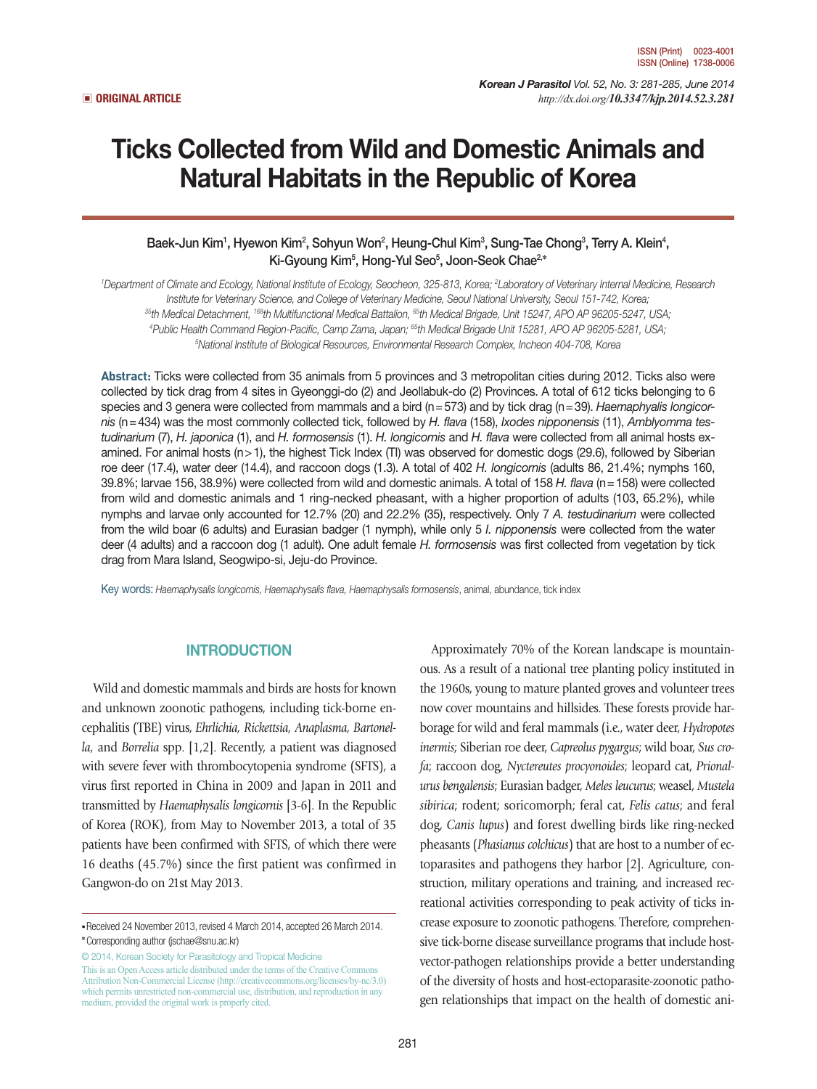*Korean J Parasitol Vol. 52, No. 3: 281-285, June 2014*  ▣ **ORIGINAL ARTICLE** *http://dx.doi.org/10.3347/kjp.2014.52.3.281*

# Ticks Collected from Wild and Domestic Animals and Natural Habitats in the Republic of Korea

## Baek-Jun Kim<sup>1</sup>, Hyewon Kim², Sohyun Won<sup>2</sup>, Heung-Chul Kim<sup>3</sup>, Sung-Tae Chong<sup>3</sup>, Terry A. Klein<sup>4</sup>, Ki-Gyoung Kim5 , Hong-Yul Seo5 , Joon-Seok Chae2,**\***

*1 Department of Climate and Ecology, National Institute of Ecology, Seocheon, 325-813, Korea; 2 Laboratory of Veterinary Internal Medicine, Research*  Institute for Veterinary Science, and College of Veterinary Medicine, Seoul National University, Seoul 151-742, Korea;<br><sup>35</sup>th Medical Detachment, <sup>168</sup>th Multifunctional Medical Battalion, <sup>65</sup>th Medical Brigade, Unit 1524 <sup>4</sup>Public Health Command Region-Pacific, Camp Zama, Japan; <sup>65</sup>th Medical Brigade Unit 15281, APO AP 96205-5281, USA; *National Institute of Biological Resources, Environmental Research Complex, Incheon 404-708, Korea*

**Abstract:** Ticks were collected from 35 animals from 5 provinces and 3 metropolitan cities during 2012. Ticks also were collected by tick drag from 4 sites in Gyeonggi-do (2) and Jeollabuk-do (2) Provinces. A total of 612 ticks belonging to 6 species and 3 genera were collected from mammals and a bird (n=573) and by tick drag (n=39). *Haemaphyalis longicornis* (n=434) was the most commonly collected tick, followed by *H. flava* (158), *Ixodes nipponensis* (11), *Amblyomma testudinarium* (7), *H. japonica* (1), and *H. formosensis* (1). *H. longicornis* and *H. flava* were collected from all animal hosts examined. For animal hosts (n>1), the highest Tick Index (TI) was observed for domestic dogs (29.6), followed by Siberian roe deer (17.4), water deer (14.4), and raccoon dogs (1.3). A total of 402 *H. longicornis* (adults 86, 21.4%; nymphs 160, 39.8%; larvae 156, 38.9%) were collected from wild and domestic animals. A total of 158 *H. flava* (n=158) were collected from wild and domestic animals and 1 ring-necked pheasant, with a higher proportion of adults (103, 65.2%), while nymphs and larvae only accounted for 12.7% (20) and 22.2% (35), respectively. Only 7 *A. testudinarium* were collected from the wild boar (6 adults) and Eurasian badger (1 nymph), while only 5 *I. nipponensis* were collected from the water deer (4 adults) and a raccoon dog (1 adult). One adult female *H. formosensis* was first collected from vegetation by tick drag from Mara Island, Seogwipo-si, Jeju-do Province.

Key words: *Haemaphysalis longicornis, Haemaphysalis flava, Haemaphysalis formosensis*, animal, abundance, tick index

#### INTRODUCTION

Wild and domestic mammals and birds are hosts for known and unknown zoonotic pathogens, including tick-borne encephalitis (TBE) virus, *Ehrlichia, Rickettsia, Anaplasma, Bartonella,* and *Borrelia* spp. [1,2]. Recently, a patient was diagnosed with severe fever with thrombocytopenia syndrome (SFTS), a virus first reported in China in 2009 and Japan in 2011 and transmitted by *Haemaphysalis longicornis* [3-6]. In the Republic of Korea (ROK), from May to November 2013, a total of 35 patients have been confirmed with SFTS, of which there were 16 deaths (45.7%) since the first patient was confirmed in Gangwon-do on 21st May 2013.

© 2014, Korean Society for Parasitology and Tropical Medicine This is an Open Access article distributed under the terms of the Creative Commons Attribution Non-Commercial License (http://creativecommons.org/licenses/by-nc/3.0) which permits unrestricted non-commercial use, distribution, and reproduction in any medium, provided the original work is properly cited.

Approximately 70% of the Korean landscape is mountainous. As a result of a national tree planting policy instituted in the 1960s, young to mature planted groves and volunteer trees now cover mountains and hillsides. These forests provide harborage for wild and feral mammals (i.e., water deer, *Hydropotes inermis*; Siberian roe deer, *Capreolus pygargus*; wild boar, *Sus crofa*; raccoon dog, *Nyctereutes procyonoides*; leopard cat, *Prionalurus bengalensis*; Eurasian badger, *Meles leucurus*; weasel, *Mustela sibirica*; rodent; soricomorph; feral cat, *Felis catus*; and feral dog, *Canis lupus*) and forest dwelling birds like ring-necked pheasants (*Phasianus colchicus*) that are host to a number of ectoparasites and pathogens they harbor [2]. Agriculture, construction, military operations and training, and increased recreational activities corresponding to peak activity of ticks increase exposure to zoonotic pathogens. Therefore, comprehensive tick-borne disease surveillance programs that include hostvector-pathogen relationships provide a better understanding of the diversity of hosts and host-ectoparasite-zoonotic pathogen relationships that impact on the health of domestic ani-

**<sup>•</sup>**Received 24 November 2013, revised 4 March 2014, accepted 26 March 2014. **\***Corresponding author (jschae@snu.ac.kr)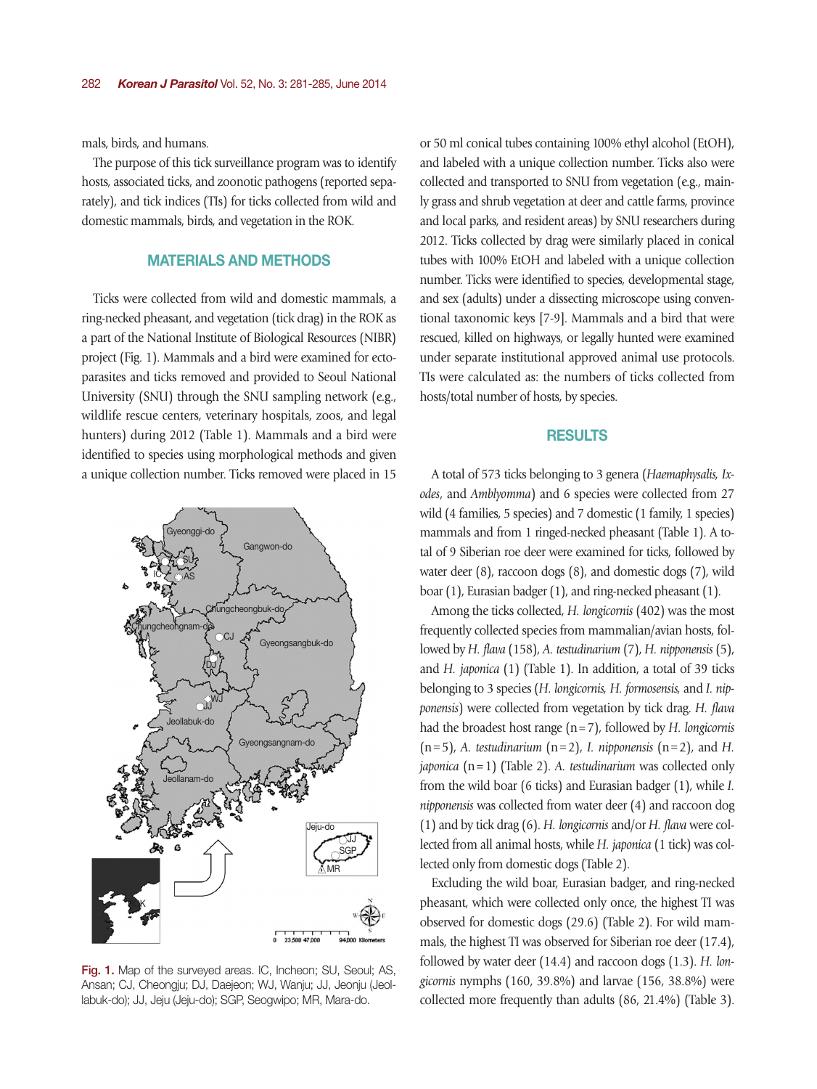mals, birds, and humans.

The purpose of this tick surveillance program was to identify hosts, associated ticks, and zoonotic pathogens (reported separately), and tick indices (TIs) for ticks collected from wild and domestic mammals, birds, and vegetation in the ROK.

## MATERIALS AND METHODS

Ticks were collected from wild and domestic mammals, a ring-necked pheasant, and vegetation (tick drag) in the ROK as a part of the National Institute of Biological Resources (NIBR) project (Fig. 1). Mammals and a bird were examined for ectoparasites and ticks removed and provided to Seoul National University (SNU) through the SNU sampling network (e.g., wildlife rescue centers, veterinary hospitals, zoos, and legal hunters) during 2012 (Table 1). Mammals and a bird were identified to species using morphological methods and given a unique collection number. Ticks removed were placed in 15



Fig. 1. Map of the surveyed areas. IC, Incheon; SU, Seoul; AS, Ansan; CJ, Cheongju; DJ, Daejeon; WJ, Wanju; JJ, Jeonju (Jeollabuk-do); JJ, Jeju (Jeju-do); SGP, Seogwipo; MR, Mara-do.

or 50 ml conical tubes containing 100% ethyl alcohol (EtOH), and labeled with a unique collection number. Ticks also were collected and transported to SNU from vegetation (e.g., mainly grass and shrub vegetation at deer and cattle farms, province and local parks, and resident areas) by SNU researchers during 2012. Ticks collected by drag were similarly placed in conical tubes with 100% EtOH and labeled with a unique collection number. Ticks were identified to species, developmental stage, and sex (adults) under a dissecting microscope using conventional taxonomic keys [7-9]. Mammals and a bird that were rescued, killed on highways, or legally hunted were examined under separate institutional approved animal use protocols. TIs were calculated as: the numbers of ticks collected from hosts/total number of hosts, by species.

#### RESULTS

A total of 573 ticks belonging to 3 genera (*Haemaphysalis, Ixodes*, and *Amblyomma*) and 6 species were collected from 27 wild (4 families, 5 species) and 7 domestic (1 family, 1 species) mammals and from 1 ringed-necked pheasant (Table 1). A total of 9 Siberian roe deer were examined for ticks, followed by water deer (8), raccoon dogs (8), and domestic dogs (7), wild boar (1), Eurasian badger (1), and ring-necked pheasant (1).

Among the ticks collected, *H. longicornis* (402) was the most frequently collected species from mammalian/avian hosts, followed by *H. flava* (158), *A. testudinarium* (7), *H. nipponensis* (5), and *H. japonica* (1) (Table 1). In addition, a total of 39 ticks belonging to 3 species (*H. longicornis, H. formosensis,* and *I. nipponensis*) were collected from vegetation by tick drag. *H. flava* had the broadest host range (n=7), followed by *H. longicornis*  $(n=5)$ , *A. testudinarium*  $(n=2)$ , *I. nipponensis*  $(n=2)$ , and *H. japonica* (n=1) (Table 2). *A. testudinarium* was collected only from the wild boar (6 ticks) and Eurasian badger (1), while *I. nipponensis* was collected from water deer (4) and raccoon dog (1) and by tick drag (6). *H. longicornis* and/or *H. flava* were collected from all animal hosts, while *H. japonica* (1 tick) was collected only from domestic dogs (Table 2).

Excluding the wild boar, Eurasian badger, and ring-necked pheasant, which were collected only once, the highest TI was observed for domestic dogs (29.6) (Table 2). For wild mammals, the highest TI was observed for Siberian roe deer (17.4), followed by water deer (14.4) and raccoon dogs (1.3). *H. longicornis* nymphs (160, 39.8%) and larvae (156, 38.8%) were collected more frequently than adults (86, 21.4%) (Table 3).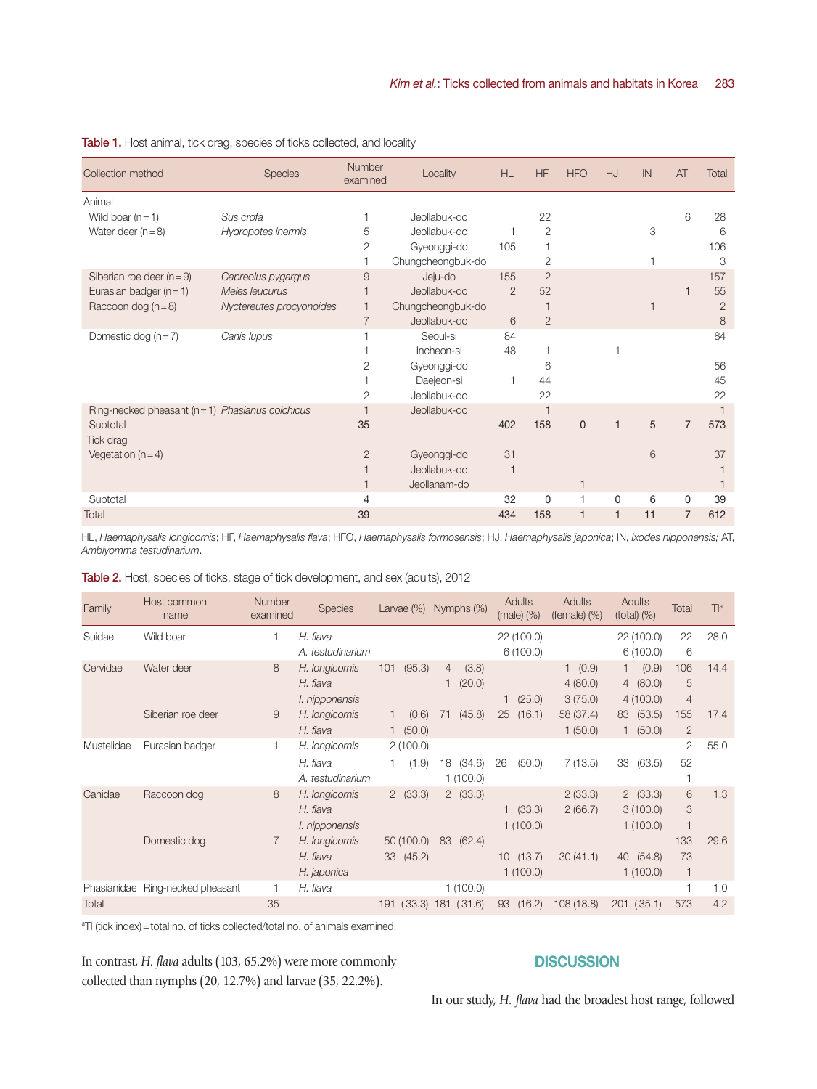| Collection method                                | <b>Species</b>           | Number<br>examined | Locality          | <b>HL</b>      | <b>HF</b>      | <b>HFO</b>     | <b>HJ</b>               | IN | AT             | Total          |
|--------------------------------------------------|--------------------------|--------------------|-------------------|----------------|----------------|----------------|-------------------------|----|----------------|----------------|
| Animal                                           |                          |                    |                   |                |                |                |                         |    |                |                |
| Wild boar $(n = 1)$                              | Sus crofa                | 1                  | Jeollabuk-do      |                | 22             |                |                         |    | 6              | 28             |
| Water deer $(n=8)$                               | Hydropotes inermis       | 5                  | Jeollabuk-do      |                | $\overline{2}$ |                |                         | 3  |                | 6              |
|                                                  |                          | 2                  | Gyeonggi-do       | 105            |                |                |                         |    |                | 106            |
|                                                  |                          |                    | Chungcheongbuk-do |                | $\overline{2}$ |                |                         |    |                | 3              |
| Siberian roe deer $(n=9)$                        | Capreolus pygargus       | 9                  | Jeju-do           | 155            | $\overline{2}$ |                |                         |    |                | 157            |
| Eurasian badger $(n = 1)$                        | Meles leucurus           | $\overline{1}$     | Jeollabuk-do      | $\overline{2}$ | 52             |                |                         |    |                | 55             |
| Raccoon dog $(n=8)$                              | Nyctereutes procyonoides | $\overline{1}$     | Chungcheongbuk-do |                |                |                |                         |    |                | $\overline{2}$ |
|                                                  |                          | 7                  | Jeollabuk-do      | 6              | $\overline{2}$ |                |                         |    |                | 8              |
| Domestic dog $(n=7)$                             | Canis lupus              |                    | Seoul-si          | 84             |                |                |                         |    |                | 84             |
|                                                  |                          |                    | Incheon-si        | 48             |                |                |                         |    |                |                |
|                                                  |                          | 2                  | Gyeonggi-do       |                | 6              |                |                         |    |                | 56             |
|                                                  |                          |                    | Daejeon-si        |                | 44             |                |                         |    |                | 45             |
|                                                  |                          | 2                  | Jeollabuk-do      |                | 22             |                |                         |    |                | 22             |
| Ring-necked pheasant $(n=1)$ Phasianus colchicus |                          | 1                  | Jeollabuk-do      |                |                |                |                         |    |                |                |
| Subtotal                                         |                          | 35                 |                   | 402            | 158            | $\overline{0}$ | $\overline{1}$          | 5  | $\overline{7}$ | 573            |
| Tick drag                                        |                          |                    |                   |                |                |                |                         |    |                |                |
| Vegetation $(n=4)$                               |                          | $\overline{2}$     | Gyeonggi-do       | 31             |                |                |                         | 6  |                | 37             |
|                                                  |                          |                    | Jeollabuk-do      |                |                |                |                         |    |                |                |
|                                                  |                          |                    | Jeollanam-do      |                |                | 1              |                         |    |                |                |
| Subtotal                                         |                          | $\overline{4}$     |                   | 32             | $\Omega$       |                | $\Omega$                | 6  | $\Omega$       | 39             |
| Total                                            |                          | 39                 |                   | 434            | 158            | $\overline{1}$ | $\overline{\mathbf{1}}$ | 11 | $\overline{7}$ | 612            |

Table 1. Host animal, tick drag, species of ticks collected, and locality

HL, *Haemaphysalis longicornis*; HF, *Haemaphysalis flava*; HFO, *Haemaphysalis formosensis*; HJ, *Haemaphysalis japonica*; IN, *Ixodes nipponensis;* AT, *Amblyomma testudinarium*.

Table 2. Host, species of ticks, stage of tick development, and sex (adults), 2012

| Family               | Host common<br>name  | <b>Number</b><br>examined | <b>Species</b>                                 | Larvae $(\%)$          | Nymphs (%)               | Adults<br>$(male)$ $(\%)$ | Adults<br>(female) $(\%)$     | <b>Adults</b><br>$(total)$ $(\%)$                             | Total                      | T <sup>a</sup> |
|----------------------|----------------------|---------------------------|------------------------------------------------|------------------------|--------------------------|---------------------------|-------------------------------|---------------------------------------------------------------|----------------------------|----------------|
| Suidae               | Wild boar            | 1                         | H. flava<br>A. testudinarium                   |                        |                          | 22 (100.0)<br>6(100.0)    |                               | 22 (100.0)<br>6(100.0)                                        | 22<br>6                    | 28.0           |
| Cervidae             | Water deer           | 8                         | H. longicornis<br>H. flava<br>I. nipponensis   | (95.3)<br>101          | (3.8)<br>4<br>(20.0)     | (25.0)                    | 1 (0.9)<br>4(80.0)<br>3(75.0) | (0.9)<br>$\mathbf{1}$<br>(80.0)<br>$\overline{4}$<br>4(100.0) | 106<br>5<br>$\overline{4}$ | 14.4           |
|                      | Siberian roe deer    | 9                         | H. longicornis<br>H. flava                     | (0.6)<br>1(50.0)       | (45.8)<br>71             | 25<br>(16.1)              | 58 (37.4)<br>1(50.0)          | (53.5)<br>83<br>(50.0)<br>1                                   | 155<br>$\overline{2}$      | 17.4           |
| Mustelidae           | Eurasian badger      | 1                         | H. longicornis<br>H. flava<br>A. testudinarium | 2(100.0)<br>(1.9)      | 18<br>(34.6)<br>1(100.0) | 26<br>(50.0)              | 7(13.5)                       | 33<br>(63.5)                                                  | $\mathbf{2}$<br>52         | 55.0           |
| Canidae              | Raccoon dog          | 8                         | H. longicornis<br>H. flava<br>I. nipponensis   | 2(33.3)                | 2(33.3)                  | (33.3)<br>1(100.0)        | 2(33.3)<br>2(66.7)            | 2(33.3)<br>3(100.0)<br>1(100.0)                               | 6<br>3<br>1                | 1.3            |
|                      | Domestic dog         | $\overline{7}$            | H. longicornis<br>H. flava<br>H. japonica      | 50(100.0)<br>33 (45.2) | 83<br>(62.4)             | 10(13.7)<br>1(100.0)      | 30(41.1)                      | 40<br>(54.8)<br>1(100.0)                                      | 133<br>73<br>1             | 29.6           |
| Phasianidae<br>Total | Ring-necked pheasant | 35                        | H. flava                                       | (33.3)<br>191          | 1(100.0)<br>181 (31.6)   | (16.2)<br>93              | 108(18.8)                     | (35.1)<br>201                                                 | 1<br>573                   | 1.0<br>4.2     |

<sup>a</sup>TI (tick index) = total no. of ticks collected/total no. of animals examined.

In contrast, *H. flava* adults (103, 65.2%) were more commonly collected than nymphs (20, 12.7%) and larvae (35, 22.2%).

## **DISCUSSION**

In our study, *H. flava* had the broadest host range, followed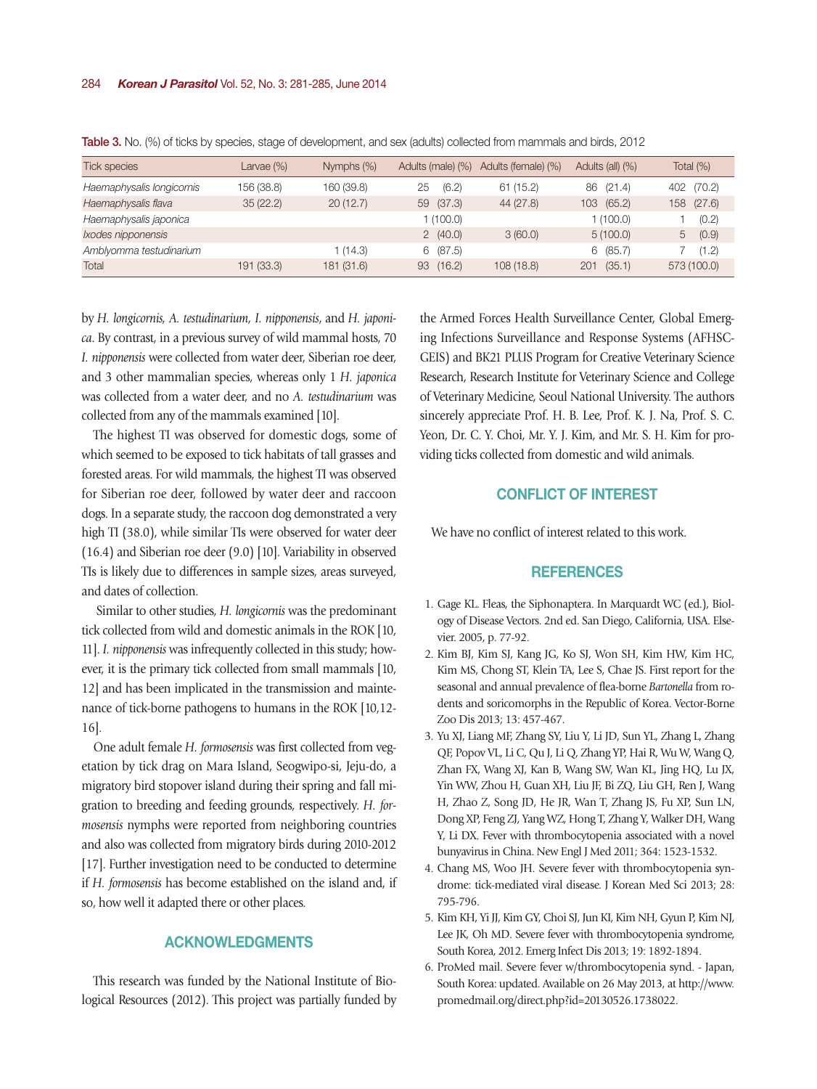| <b>Tick species</b>       | Larvae $(\%)$ | Nymphs (%) | Adults (male) (%) | Adults (female) (%) | Adults (all) (%) | Total $(\%)$  |
|---------------------------|---------------|------------|-------------------|---------------------|------------------|---------------|
| Haemaphysalis longicornis | 156 (38.8)    | 160 (39.8) | (6.2)<br>25       | 61(15.2)            | 86 (21.4)        | 402 (70.2)    |
| Haemaphysalis flava       | 35(22.2)      | 20(12.7)   | (37.3)<br>59      | 44 (27.8)           | 103 (65.2)       | (27.6)<br>158 |
| Haemaphysalis japonica    |               |            | 1(100.0)          |                     | 1 (100.0)        | (0.2)         |
| Ixodes nipponensis        |               |            | 2(40.0)           | 3(60.0)             | 5(100.0)         | (0.9)<br>5    |
| Amblyomma testudinarium   |               | (14.3)     | 6(87.5)           |                     | 6(85.7)          | (1.2)         |
| Total                     | 191 (33.3)    | 181 (31.6) | (16.2)<br>93      | 108(18.8)           | (35.1)<br>201    | 573 (100.0)   |

Table 3. No. (%) of ticks by species, stage of development, and sex (adults) collected from mammals and birds, 2012

by *H. longicornis, A. testudinarium, I. nipponensis*, and *H. japonica*. By contrast, in a previous survey of wild mammal hosts, 70 *I. nipponensis* were collected from water deer, Siberian roe deer, and 3 other mammalian species, whereas only 1 *H. japonica* was collected from a water deer, and no *A. testudinarium* was collected from any of the mammals examined [10].

The highest TI was observed for domestic dogs, some of which seemed to be exposed to tick habitats of tall grasses and forested areas. For wild mammals, the highest TI was observed for Siberian roe deer, followed by water deer and raccoon dogs. In a separate study, the raccoon dog demonstrated a very high TI (38.0), while similar TIs were observed for water deer (16.4) and Siberian roe deer (9.0) [10]. Variability in observed TIs is likely due to differences in sample sizes, areas surveyed, and dates of collection.

 Similar to other studies, *H. longicornis* was the predominant tick collected from wild and domestic animals in the ROK [10, 11]. *I. nipponensis* was infrequently collected in this study; however, it is the primary tick collected from small mammals [10, 12] and has been implicated in the transmission and maintenance of tick-borne pathogens to humans in the ROK [10,12- 16].

One adult female *H. formosensis* was first collected from vegetation by tick drag on Mara Island, Seogwipo-si, Jeju-do, a migratory bird stopover island during their spring and fall migration to breeding and feeding grounds, respectively. *H. formosensis* nymphs were reported from neighboring countries and also was collected from migratory birds during 2010-2012 [17]. Further investigation need to be conducted to determine if *H. formosensis* has become established on the island and, if so, how well it adapted there or other places.

## ACKNOWLEDGMENTS

This research was funded by the National Institute of Biological Resources (2012). This project was partially funded by

the Armed Forces Health Surveillance Center, Global Emerging Infections Surveillance and Response Systems (AFHSC-GEIS) and BK21 PLUS Program for Creative Veterinary Science Research, Research Institute for Veterinary Science and College of Veterinary Medicine, Seoul National University. The authors sincerely appreciate Prof. H. B. Lee, Prof. K. J. Na, Prof. S. C. Yeon, Dr. C. Y. Choi, Mr. Y. J. Kim, and Mr. S. H. Kim for providing ticks collected from domestic and wild animals.

# CONFLICT OF INTEREST

We have no conflict of interest related to this work.

## **REFERENCES**

- 1. Gage KL. Fleas, the Siphonaptera. In Marquardt WC (ed.), Biology of Disease Vectors. 2nd ed. San Diego, California, USA. Elsevier. 2005, p. 77-92.
- 2. Kim BJ, Kim SJ, Kang JG, Ko SJ, Won SH, Kim HW, Kim HC, Kim MS, Chong ST, Klein TA, Lee S, Chae JS. First report for the seasonal and annual prevalence of flea-borne *Bartonella* from rodents and soricomorphs in the Republic of Korea. Vector-Borne Zoo Dis 2013; 13: 457-467.
- 3. Yu XJ, Liang MF, Zhang SY, Liu Y, Li JD, Sun YL, Zhang L, Zhang QF, Popov VL, Li C, Qu J, Li Q, Zhang YP, Hai R, Wu W, Wang Q, Zhan FX, Wang XJ, Kan B, Wang SW, Wan KL, Jing HQ, Lu JX, Yin WW, Zhou H, Guan XH, Liu JF, Bi ZQ, Liu GH, Ren J, Wang H, Zhao Z, Song JD, He JR, Wan T, Zhang JS, Fu XP, Sun LN, Dong XP, Feng ZJ, Yang WZ, Hong T, Zhang Y, Walker DH, Wang Y, Li DX. Fever with thrombocytopenia associated with a novel bunyavirus in China. New Engl J Med 2011; 364: 1523-1532.
- 4. Chang MS, Woo JH. Severe fever with thrombocytopenia syndrome: tick-mediated viral disease. J Korean Med Sci 2013; 28: 795-796.
- 5. Kim KH, Yi JJ, Kim GY, Choi SJ, Jun KI, Kim NH, Gyun P, Kim NJ, Lee JK, Oh MD. Severe fever with thrombocytopenia syndrome, South Korea, 2012. Emerg Infect Dis 2013; 19: 1892-1894.
- 6. ProMed mail. Severe fever w/thrombocytopenia synd. Japan, South Korea: updated. Available on 26 May 2013, at http://www. promedmail.org/direct.php?id=20130526.1738022.